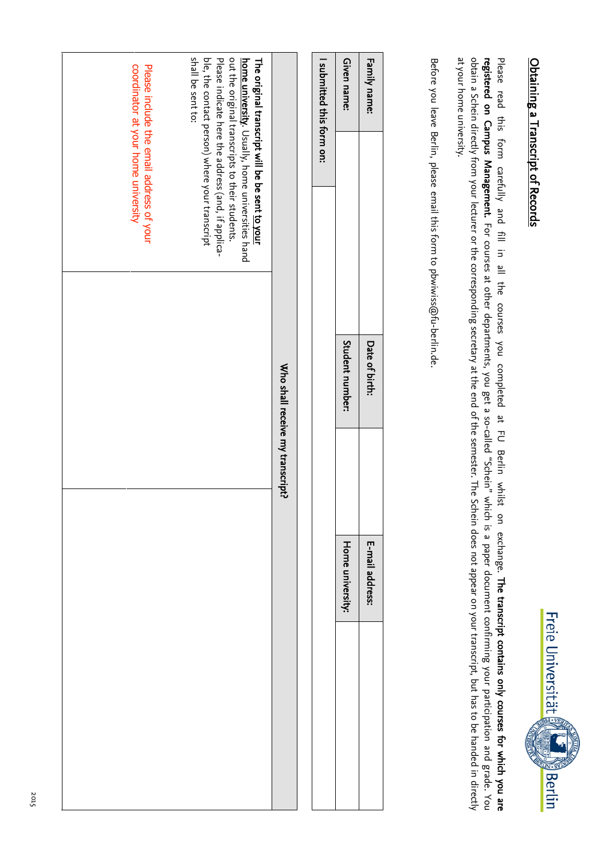

## Obtaining a Transcript of Records Obtaining a Transcript of Records

at your home university. obtain a Schein directly from your lecturer or the corresponding secretary at the end of the semester. The Schein does not appear on your transcript, but has to be handed in directly at your home university. obtain a Schein directly from your lecturer or the corresponding secretary at the end of the semester. registered on 'ampus 1anagement. Please read this form carefully and For courses $\equiv$ in Si  $\overset{\omega}{=}$  at other departmentsthe courses you completed , you get a so-called "Schein" which is a paper document confirming your participation and grade. You يو 긷 Berlin The Schein does not appear on your transcript, but has to be handed in directly whilst on exchange.The transcript contains only courses for which you are

Before you leave Berlin, please email this form to pbwiwiss@fu-berlin.de.

| Family name:              |                                                                                                                                                                                                | Date of birth:  |                                  | E-mail address:  |  |
|---------------------------|------------------------------------------------------------------------------------------------------------------------------------------------------------------------------------------------|-----------------|----------------------------------|------------------|--|
| Given name:               |                                                                                                                                                                                                | Student number: |                                  | Home university: |  |
| I submitted this form on: |                                                                                                                                                                                                |                 |                                  |                  |  |
|                           |                                                                                                                                                                                                |                 |                                  |                  |  |
|                           |                                                                                                                                                                                                |                 | Who shall receive my transcript? |                  |  |
|                           | out the original transcripts to their students.<br><b>home university</b> . Usually, home universities hand<br>The original transcript will be be sent <u>to your</u><br>.<br>.<br>.<br>.<br>. |                 |                                  |                  |  |

 $\blacksquare$ 

 $\overline{\phantom{a}}$ 

| shall be sent to:<br>out the original transcripts to their students.<br>The original transcript will be be sent to your<br>ble, the contact person) where your transcript<br>Please indicate here the address (and, if applica-<br><b>home university</b> . Usually, home universities hand<br>Who shall receive my transcript? |  |
|---------------------------------------------------------------------------------------------------------------------------------------------------------------------------------------------------------------------------------------------------------------------------------------------------------------------------------|--|
| coordinator at your home university<br>Please include the email address of your                                                                                                                                                                                                                                                 |  |